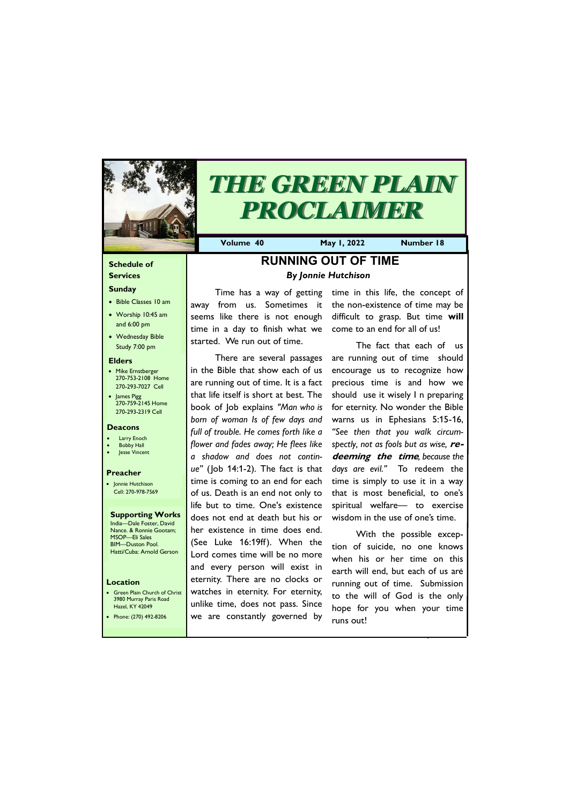## **Schedule of Services**

#### **Sunday**

- Bible Classes 10 am
- Worship 10:45 am and 6:00 pm
- Wednesday Bible Study 7:00 pm

• Green Plain Church of Christ 3980 Murray Paris Road  $H<sub>27</sub>$ d, KY 42

#### **Elders**

- Mike Ernstberger 270-753-2108 Home 270-293-7027 Cell
- James Pigg 270-759-2145 Home 270-293-2319 Cell

### **Location**



# *THE GREEN PLAIN PROCLAIMER*

**Volume 40 May 1, 2022 Number 18**

### **Deacons**

- **Larry Enoch**
- **Bobby Hall**
- Jesse Vincent

### **Preacher**

• Jonnie Hutchison Cell: 270-978-7569

#### **Supporting Works** India—Dale Foster, David Nance. & Ronnie Gootam; MSOP—Eli Sales

BIM—Duston Pool. Hatti/Cuba: Arnold Gerson

# **RUNNING OUT OF TIME** *By Jonnie Hutchison*

Time has a way of getting away from us. Sometimes it seems like there is not enough time in a day to finish what we started. We run out of time.

There are several passages in the Bible that show each of us are running out of time. It is a fact that life itself is short at best. The book of Job explains *"Man who is born of woman Is of few days and full of trouble. He comes forth like a flower and fades away; He flees like a shadow and does not continue"* (Job 14:1-2). The fact is that time is coming to an end for each of us. Death is an end not only to life but to time. One's existence does not end at death but his or her existence in time does end. (See Luke 16:19ff). When the Lord comes time will be no more and every person will exist in eternity. There are no clocks or watches in eternity. For eternity, unlike time, does not pass. Since

| Hazel, KY 42049       | I unlike time, goes not pass. Since hope for you when your | time <b> </b> |
|-----------------------|------------------------------------------------------------|---------------|
| Phone: (270) 492-8206 | we are constantly governed by                              | runs out!     |
|                       |                                                            |               |

time in this life, the concept of the non-existence of time may be difficult to grasp. But time **will**  come to an end for all of us!

The fact that each of us are running out of time should encourage us to recognize how precious time is and how we should use it wisely I n preparing for eternity. No wonder the Bible warns us in Ephesians 5:15-16, *"See then that you walk circumspectly, not as fools but as wise,* **redeeming the time***, because the days are evil."* To redeem the time is simply to use it in a way that is most beneficial, to one's spiritual welfare— to exercise wisdom in the use of one's time.

With the possible exception of suicide, no one knows when his or her time on this earth will end, but each of us are running out of time. Submission to the will of God is the only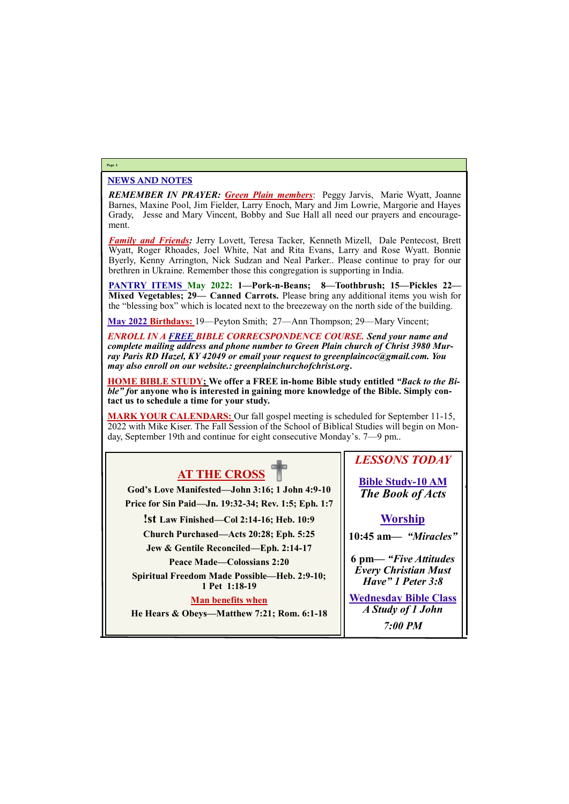# NEWS AND NOTES

*REMEMBER IN PRAYER: Green Plain members*: Peggy Jarvis, Marie Wyatt, Joanne Barnes, Maxine Pool, Jim Fielder, Larry Enoch, Mary and Jim Lowrie, Margorie and Hayes Grady, Jesse and Mary Vincent, Bobby and Sue Hall all need our prayers and encouragement.

*Family and Friends:* Jerry Lovett, Teresa Tacker, Kenneth Mizell, Dale Pentecost, Brett Wyatt, Roger Rhoades, Joel White, Nat and Rita Evans, Larry and Rose Wyatt. Bonnie Byerly, Kenny Arrington, Nick Sudzan and Neal Parker.. Please continue to pray for our brethren in Ukraine. Remember those this congregation is supporting in India.

**PANTRY ITEMS May 2022: 1—Pork-n-Beans; 8—Toothbrush; 15—Pickles 22— Mixed Vegetables; 29— Canned Carrots.** Please bring any additional items you wish for the "blessing box" which is located next to the breezeway on the north side of the building.

**May 2022 Birthdays:** 19—Peyton Smith; 27—Ann Thompson; 29—Mary Vincent;

*ENROLL IN A FREE BIBLE CORRECSPONDENCE COURSE. Send your name and complete mailing address and phone number to Green Plain church of Christ 3980 Murray Paris RD Hazel, KY 42049 or email your request to greenplaincoc@gmail.com. You may also enroll on our website.: greenplainchurchofchrist.org***.**

**HOME BIBLE STUDY; We offer a FREE in-home Bible study entitled** *"Back to the Bible" f***or anyone who is interested in gaining more knowledge of the Bible. Simply contact us to schedule a time for your study.**

**MARK YOUR CALENDARS:** Our fall gospel meeting is scheduled for September 11-15, 2022 with Mike Kiser. The Fall Session of the School of Biblical Studies will begin on Monday, September 19th and continue for eight consecutive Monday's. 7—9 pm..

## **Page 2**

# **AT THE CROSS**

**God's Love Manifested—John 3:16; 1 John 4:9-10 Price for Sin Paid—Jn. 19:32-34; Rev. 1:5; Eph. 1:7**

**!st Law Finished—Col 2:14-16; Heb. 10:9**

**Church Purchased—Acts 20:28; Eph. 5:25**

**Jew & Gentile Reconciled—Eph. 2:14-17**

**Peace Made—Colossians 2:20**

**Spiritual Freedom Made Possible—Heb. 2:9-10; 1 Pet 1:18-19**

# **Man benefits when**

**He Hears & Obeys—Matthew 7:21; Rom. 6:1-18**

*LESSONS TODAY*

**Bible Study-10 AM** *The Book of Acts*

# **Worship**

**10:45 am***— "Miracles"*

**6 pm—** *"Five Attitudes Every Christian Must Have" 1 Peter 3:8*

**Wednesday Bible Class** *A Study of 1 John 7:00 PM*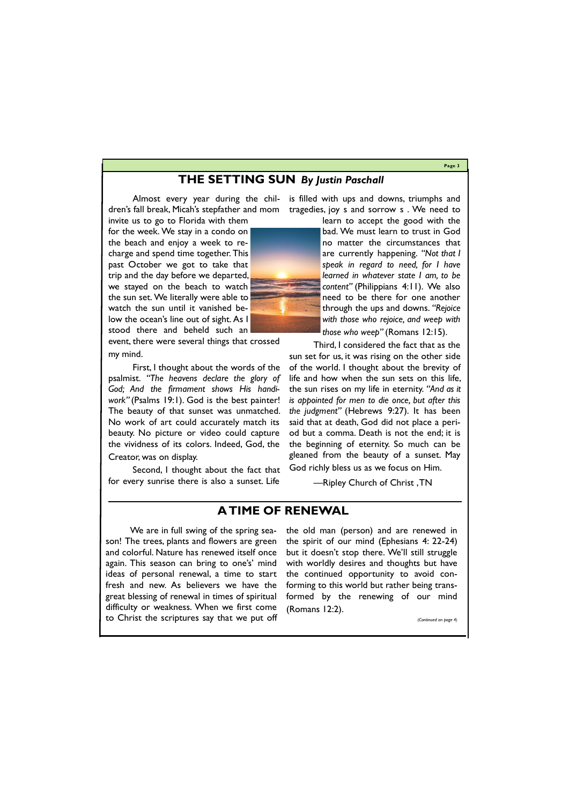#### **Page 3**

# **THE SETTING SUN** *By Justin Paschall*

invite us to go to Florida with them

for the week. We stay in a condo on the beach and enjoy a week to recharge and spend time together. This past October we got to take that trip and the day before we departed, we stayed on the beach to watch the sun set. We literally were able to watch the sun until it vanished below the ocean's line out of sight. As I stood there and beheld such an

event, there were several things that crossed my mind.

Almost every year during the chil-is filled with ups and downs, triumphs and dren's fall break, Micah's stepfather and mom tragedies, joy s and sorrow s . We need to

First, I thought about the words of the psalmist. *"The heavens declare the glory of God; And the firmament shows His handiwork"* (Psalms 19:1). God is the best painter! The beauty of that sunset was unmatched. No work of art could accurately match its beauty. No picture or video could capture the vividness of its colors. Indeed, God, the Creator, was on display.

Second, I thought about the fact that for every sunrise there is also a sunset. Life learn to accept the good with the bad. We must learn to trust in God no matter the circumstances that are currently happening. *"Not that I speak in regard to need, for I have learned in whatever state I am, to be content"* (Philippians 4:11). We also need to be there for one another through the ups and downs. *"Rejoice with those who rejoice, and weep with those who weep"* (Romans 12:15).

Third, I considered the fact that as the sun set for us, it was rising on the other side of the world. I thought about the brevity of life and how when the sun sets on this life, the sun rises on my life in eternity. *"And as it is appointed for men to die once, but after this the judgment"* (Hebrews 9:27). It has been said that at death, God did not place a period but a comma. Death is not the end; it is the beginning of eternity. So much can be gleaned from the beauty of a sunset. May God richly bless us as we focus on Him.

—Ripley Church of Christ , TN

# **A TIME OF RENEWAL**

We are in full swing of the spring season! The trees, plants and flowers are green and colorful. Nature has renewed itself once again. This season can bring to one's' mind ideas of personal renewal, a time to start fresh and new. As believers we have the great blessing of renewal in times of spiritual

difficulty or weakness. When we first come (Romans 12:2). to Christ the scriptures say that we put off *(Continued on page 4)*

the old man (person) and are renewed in the spirit of our mind (Ephesians 4: 22-24) but it doesn't stop there. We'll still struggle with worldly desires and thoughts but have the continued opportunity to avoid conforming to this world but rather being transformed by the renewing of our mind